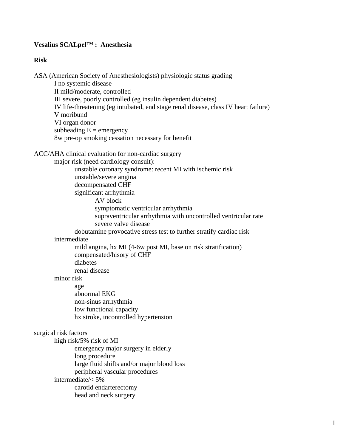# **Vesalius SCALpel™ : Anesthesia**

## **Risk**

ASA (American Society of Anesthesiologists) physiologic status grading I no systemic disease II mild/moderate, controlled III severe, poorly controlled (eg insulin dependent diabetes) IV life-threatening (eg intubated, end stage renal disease, class IV heart failure) V moribund VI organ donor subheading  $E =$  emergency 8w pre-op smoking cessation necessary for benefit

ACC/AHA clinical evaluation for non-cardiac surgery

 major risk (need cardiology consult): unstable coronary syndrome: recent MI with ischemic risk unstable/severe angina decompensated CHF significant arrhythmia AV block symptomatic ventricular arrhythmia

 supraventricular arrhythmia with uncontrolled ventricular rate severe valve disease

 dobutamine provocative stress test to further stratify cardiac risk intermediate

 mild angina, hx MI (4-6w post MI, base on risk stratification) compensated/hisory of CHF diabetes renal disease

minor risk

 age abnormal EKG non-sinus arrhythmia low functional capacity hx stroke, incontrolled hypertension

#### surgical risk factors

 high risk/5% risk of MI emergency major surgery in elderly long procedure large fluid shifts and/or major blood loss peripheral vascular procedures intermediate/< 5% carotid endarterectomy head and neck surgery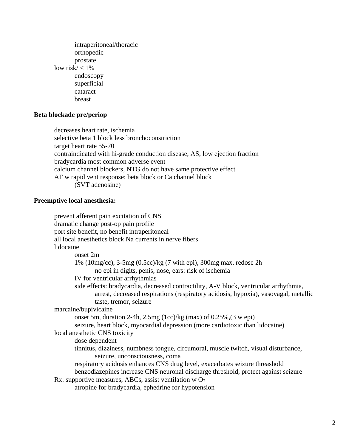intraperitoneal/thoracic orthopedic prostate low risk $/ < 1\%$  endoscopy superficial cataract breast

# **Beta blockade pre/periop**

 decreases heart rate, ischemia selective beta 1 block less bronchoconstriction target heart rate 55-70 contraindicated with hi-grade conduction disease, AS, low ejection fraction bradycardia most common adverse event calcium channel blockers, NTG do not have same protective effect AF w rapid vent response: beta block or Ca channel block (SVT adenosine)

# **Preemptive local anesthesia:**

|           | prevent afferent pain excitation of CNS                                                                                                                                       |
|-----------|-------------------------------------------------------------------------------------------------------------------------------------------------------------------------------|
|           | dramatic change post-op pain profile                                                                                                                                          |
|           | port site benefit, no benefit intraperitoneal                                                                                                                                 |
|           | all local anesthetics block Na currents in nerve fibers                                                                                                                       |
| lidocaine |                                                                                                                                                                               |
|           | onset 2m                                                                                                                                                                      |
|           | $1\%$ (10mg/cc), 3-5mg (0.5cc)/kg (7 with epi), 300mg max, redose 2h<br>no epi in digits, penis, nose, ears: risk of ischemia                                                 |
|           | IV for ventricular arrhythmias                                                                                                                                                |
|           | side effects: bradycardia, decreased contractility, A-V block, ventricular arrhythmia,<br>arrest, decreased respirations (respiratory acidosis, hypoxia), vasovagal, metallic |
|           | taste, tremor, seizure                                                                                                                                                        |
|           | marcaine/bupivicaine                                                                                                                                                          |
|           | onset 5m, duration 2-4h, 2.5mg $(1cc)/kg$ (max) of 0.25%, $(3$ w epi)                                                                                                         |
|           | seizure, heart block, myocardial depression (more cardiotoxic than lidocaine)                                                                                                 |
|           | local anesthetic CNS toxicity                                                                                                                                                 |
|           | dose dependent                                                                                                                                                                |
|           | tinnitus, dizziness, numbness tongue, circumoral, muscle twitch, visual disturbance,                                                                                          |
|           | seizure, unconsciousness, coma                                                                                                                                                |
|           | respiratory acidosis enhances CNS drug level, exacerbates seizure threashold                                                                                                  |
|           | benzodiazepines increase CNS neuronal discharge threshold, protect against seizure                                                                                            |
|           | Rx: supportive measures, ABCs, assist ventilation w $O_2$                                                                                                                     |
|           | atropine for bradycardia, ephedrine for hypotension                                                                                                                           |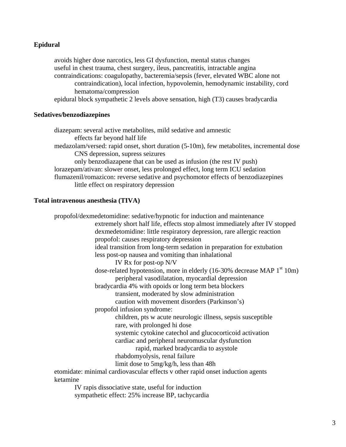# **Epidural**

 avoids higher dose narcotics, less GI dysfunction, mental status changes useful in chest trauma, chest surgery, ileus, pancreatitis, intractable angina contraindications: coagulopathy, bacteremia/sepsis (fever, elevated WBC alone not contraindication), local infection, hypovolemin, hemodynamic instability, cord hematoma/compression epidural block sympathetic 2 levels above sensation, high (T3) causes bradycardia

## **Sedatives/benzodiazepines**

 diazepam: several active metabolites, mild sedative and amnestic effects far beyond half life medazolam/versed: rapid onset, short duration (5-10m), few metabolites, incremental dose CNS depression, supress seizures only benzodiazapene that can be used as infusion (the rest IV push) lorazepam/ativan: slower onset, less prolonged effect, long term ICU sedation flumazenil/romazicon: reverse sedative and psychomotor effects of benzodiazepines little effect on respiratory depression

## **Total intravenous anesthesia (TIVA)**

 propofol/dexmedetomidine: sedative/hypnotic for induction and maintenance extremely short half life, effects stop almost immediately after IV stopped dexmedetomidine: little respiratory depression, rare allergic reaction propofol: causes respiratory depression ideal transition from long-term sedation in preparation for extubation less post-op nausea and vomiting than inhalational IV Rx for post-op N/V dose-related hypotension, more in elderly  $(16-30\%$  decrease MAP  $1<sup>st</sup> 10m)$  peripheral vasodilatation, myocardial depression bradycardia 4% with opoids or long term beta blockers transient, moderated by slow administration caution with movement disorders (Parkinson's) propofol infusion syndrome: children, pts w acute neurologic illness, sepsis susceptible rare, with prolonged hi dose systemic cytokine catechol and glucocorticoid activation cardiac and peripheral neuromuscular dysfunction rapid, marked bradycardia to asystole rhabdomyolysis, renal failure limit dose to 5mg/kg/h, less than 48h etomidate: minimal cardiovascular effects v other rapid onset induction agents ketamine IV rapis dissociative state, useful for induction

sympathetic effect: 25% increase BP, tachycardia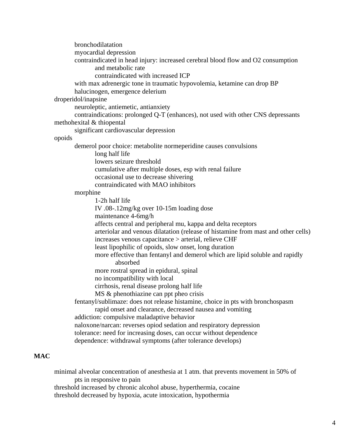bronchodilatation myocardial depression contraindicated in head injury: increased cerebral blood flow and O2 consumption and metabolic rate contraindicated with increased ICP with max adrenergic tone in traumatic hypovolemia, ketamine can drop BP halucinogen, emergence delerium droperidol/inapsine neuroleptic, antiemetic, antianxiety contraindications: prolonged Q-T (enhances), not used with other CNS depressants methohexital & thiopental significant cardiovascular depression opoids demerol poor choice: metabolite normeperidine causes convulsions long half life lowers seizure threshold cumulative after multiple doses, esp with renal failure occasional use to decrease shivering contraindicated with MAO inhibitors morphine 1-2h half life IV .08-.12mg/kg over 10-15m loading dose maintenance 4-6mg/h affects central and peripheral mu, kappa and delta receptors arteriolar and venous dilatation (release of histamine from mast and other cells) increases venous capacitance > arterial, relieve CHF least lipophilic of opoids, slow onset, long duration more effective than fentanyl and demerol which are lipid soluble and rapidly absorbed more rostral spread in epidural, spinal no incompatibility with local cirrhosis, renal disease prolong half life MS & phenothiazine can ppt pheo crisis fentanyl/sublimaze: does not release histamine, choice in pts with bronchospasm rapid onset and clearance, decreased nausea and vomiting addiction: compulsive maladaptive behavior naloxone/narcan: reverses opiod sedation and respiratory depression tolerance: need for increasing doses, can occur without dependence dependence: withdrawal symptoms (after tolerance develops)

# **MAC**

 minimal alveolar concentration of anesthesia at 1 atm. that prevents movement in 50% of pts in responsive to pain threshold increased by chronic alcohol abuse, hyperthermia, cocaine threshold decreased by hypoxia, acute intoxication, hypothermia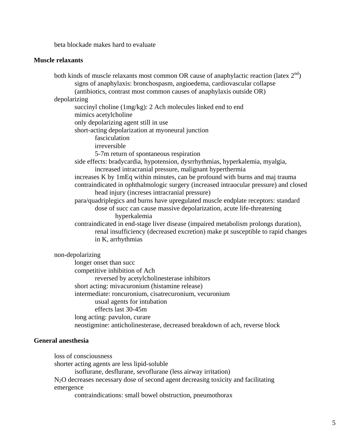beta blockade makes hard to evaluate

#### **Muscle relaxants**

both kinds of muscle relaxants most common OR cause of anaphylactic reaction (latex  $2^{nd}$ ) signs of anaphylaxis: bronchospasm, angioedema, cardiovascular collapse (antibiotics, contrast most common causes of anaphylaxis outside OR) depolarizing succinyl choline (1mg/kg): 2 Ach molecules linked end to end mimics acetylcholine only depolarizing agent still in use short-acting depolarization at myoneural junction fasciculation irreversible 5-7m return of spontaneous respiration side effects: bradycardia, hypotension, dysrrhythmias, hyperkalemia, myalgia, increased intracranial pressure, malignant hyperthermia increases K by 1mEq within minutes, can be profound with burns and maj trauma contraindicated in ophthalmologic surgery (increased intraocular pressure) and closed head injury (increses intracranial pressure) para/quadriplegics and burns have upregulated muscle endplate receptors: standard dose of succ can cause massive depolarization, acute life-threatening hyperkalemia contraindicated in end-stage liver disease (impaired metabolism prolongs duration), renal insufficiency (decreased excretion) make pt susceptible to rapid changes in K, arrhythmias non-depolarizing longer onset than succ competitive inhibition of Ach

 reversed by acetylcholinesterase inhibitors short acting: mivacuronium (histamine release) intermediate: roncuronium, cisatrecuronium, vecuronium usual agents for intubation effects last 30-45m long acting: pavulon, curare neostigmine: anticholinesterase, decreased breakdown of ach, reverse block

#### **General anesthesia**

loss of consciousness

shorter acting agents are less lipid-soluble

isoflurane, desflurane, sevoflurane (less airway irritation)

N<sub>2</sub>O decreases necessary dose of second agent decreasitg toxicity and facilitating emergence

contraindications: small bowel obstruction, pneumothorax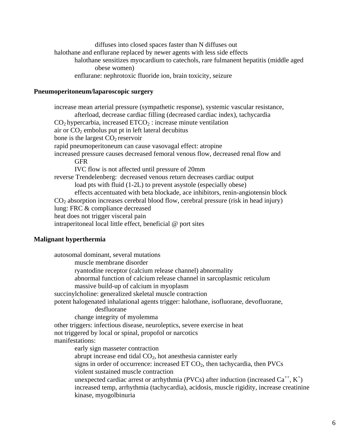diffuses into closed spaces faster than N diffuses out halothane and enflurane replaced by newer agents with less side effects halothane sensitizes myocardium to catechols, rare fulmanent hepatitis (middle aged obese women) enflurane: nephrotoxic fluoride ion, brain toxicity, seizure

## **Pneumoperitoneum/laparoscopic surgery**

 increase mean arterial pressure (sympathetic response), systemic vascular resistance, afterload, decrease cardiac filling (decreased cardiac index), tachycardia  $CO<sub>2</sub>$  hypercarbia, increased  $ETCO<sub>2</sub>$ : increase minute ventilation air or  $CO<sub>2</sub>$  embolus put pt in left lateral decubitus bone is the largest  $CO<sub>2</sub>$  reservoir rapid pneumoperitoneum can cause vasovagal effect: atropine increased pressure causes decreased femoral venous flow, decreased renal flow and GFR IVC flow is not affected until pressure of 20mm reverse Trendelenberg: decreased venous return decreases cardiac output load pts with fluid (1-2L) to prevent asystole (especially obese) effects accentuated with beta blockade, ace inhibitors, renin-angiotensin block  $CO<sub>2</sub>$  absorption increases cerebral blood flow, cerebral pressure (risk in head injury) lung: FRC & compliance decreased heat does not trigger visceral pain intraperitoneal local little effect, beneficial @ port sites

## **Malignant hyperthermia**

 autosomal dominant, several mutations muscle membrane disorder ryantodine receptor (calcium release channel) abnormality abnormal function of calcium release channel in sarcoplasmic reticulum massive build-up of calcium in myoplasm succinylcholine: generalized skeletal muscle contraction potent halogenated inhalational agents trigger: halothane, isofluorane, devofluorane, desfluorane change integrity of myolemma other triggers: infectious disease, neuroleptics, severe exercise in heat not triggered by local or spinal, propofol or narcotics manifestations: early sign masseter contraction abrupt increase end tidal  $CO<sub>2</sub>$ , hot anesthesia cannister early signs in order of occurrence: increased  $ET CO<sub>2</sub>$ , then tachycardia, then  $PVCs$  violent sustained muscle contraction unexpected cardiac arrest or arrhythmia (PVCs) after induction (increased  $Ca^{++}, K^+$ ) increased temp, arrhythmia (tachycardia), acidosis, muscle rigidity, increase creatinine kinase, myogolbinuria